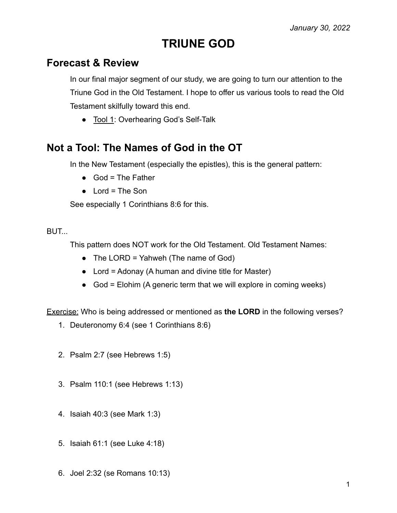# **TRIUNE GOD**

### **Forecast & Review**

In our final major segment of our study, we are going to turn our attention to the Triune God in the Old Testament. I hope to offer us various tools to read the Old Testament skilfully toward this end.

● Tool 1: Overhearing God's Self-Talk

# **Not a Tool: The Names of God in the OT**

In the New Testament (especially the epistles), this is the general pattern:

- $\bullet$  God = The Father
- $\bullet$  Lord = The Son

See especially 1 Corinthians 8:6 for this.

### BUT...

This pattern does NOT work for the Old Testament. Old Testament Names:

- The LORD = Yahweh (The name of God)
- $\bullet$  Lord = Adonay (A human and divine title for Master)
- God = Elohim (A generic term that we will explore in coming weeks)

Exercise: Who is being addressed or mentioned as **the LORD** in the following verses?

- 1. Deuteronomy 6:4 (see 1 Corinthians 8:6)
- 2. Psalm 2:7 (see Hebrews 1:5)
- 3. Psalm 110:1 (see Hebrews 1:13)
- 4. Isaiah 40:3 (see Mark 1:3)
- 5. Isaiah 61:1 (see Luke 4:18)
- 6. Joel 2:32 (se Romans 10:13)